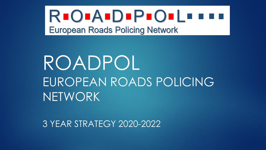#### **REOPAEDEPEOELEEE European Roads Policing Network**

### ROADPOL EUROPEAN ROADS POLICING NETWORK

3 YEAR STRATEGY 2020-2022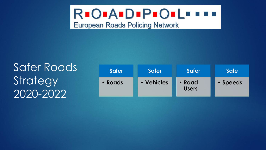## **RIOIAIDIPIOILIII**

**European Roads Policing Network** 

Safer Roads **Strategy** 2020 -2022

| <b>Safer</b> | <b>Safer</b> | <b>Safer</b>           | <b>Safe</b> |
|--------------|--------------|------------------------|-------------|
| • Roads      | • Vehicles   | • Road<br><b>Users</b> | • Speeds    |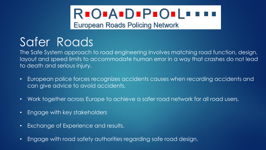# **REOPAEDEPEOPLE EEE**

**European Roads Policing Network** 

#### Safer Roads

The Safe System approach to road engineering involves matching road function, design, [layout and speed limits to accommodate human error in a way that crashes do not lead](#page-3-0)  to death and serious injury.

- European police forces recognizes accidents causes when recording accidents and can give advice to avoid accidents.
- Work together across Europe to achieve a safer road network for all road users.
- Engage with key stakeholders
- Exchange of Experience and results.
- Engage with road safety authorities regarding safe road design.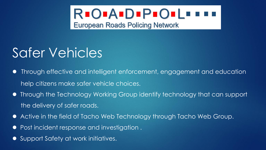

#### <span id="page-3-0"></span>Safer Vehicles

- Through effective and intelligent enforcement, engagement and education help citizens make safer vehicle choices.
- [Through the Technology Working Group identify technology that can support](#page-3-0) the delivery of safer roads.
- Active in the field of Tacho Web Technology through Tacho Web Group.
- Post incident response and investigation .
- Support Safety at work initiatives.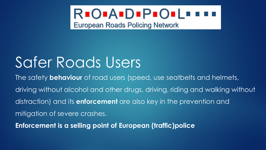

### <span id="page-4-0"></span>[Safer Roads Users](#page-3-0)

The safety **behaviour** of road users (speed, use seatbelts and helmets, driving without alcohol and other drugs, driving, riding and walking without distraction) and its **enforcement** are also key in the prevention and mitigation of severe crashes.

**Enforcement is a selling point of European (traffic)police**